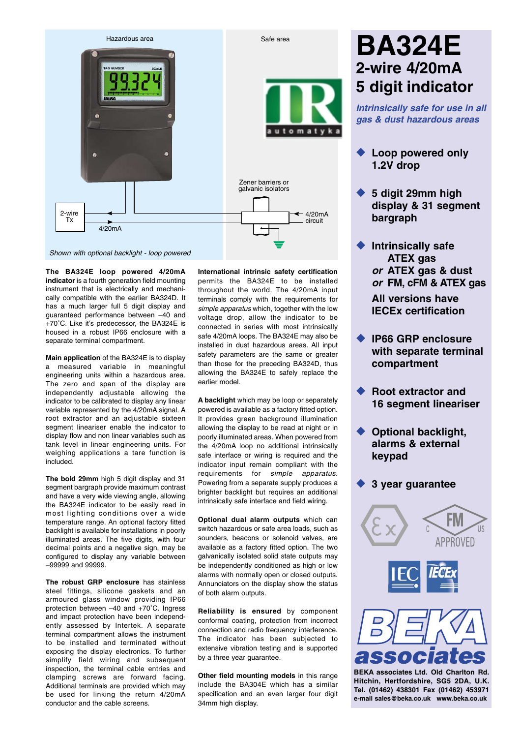

**The BA324E loop powered 4/20mA indicator** is a fourth generation field mounting instrument that is electrically and mechanically compatible with the earlier BA324D. It has a much larger full 5 digit display and guaranteed performance between –40 and +70˚C. Like it's predecessor, the BA324E is housed in a robust IP66 enclosure with a separate terminal compartment.

**Main application** of the BA324E is to display a measured variable in meaningful engineering units within a hazardous area. The zero and span of the display are independently adjustable allowing the indicator to be calibrated to display any linear variable represented by the 4/20mA signal. A root extractor and an adjustable sixteen segment lineariser enable the indicator to display flow and non linear variables such as tank level in linear engineering units. For weighing applications a tare function is included.

**The bold 29mm** high 5 digit display and 31 segment bargraph provide maximum contrast and have a very wide viewing angle, allowing the BA324E indicator to be easily read in most lighting conditions over a wide temperature range. An optional factory fitted backlight is available for installations in poorly illuminated areas. The five digits, with four decimal points and a negative sign, may be configured to display any variable between –99999 and 99999.

**The robust GRP enclosure** has stainless steel fittings, silicone gaskets and an armoured glass window providing IP66 protection between –40 and +70˚C. Ingress and impact protection have been independently assessed by Intertek. A separate terminal compartment allows the instrument to be installed and terminated without exposing the display electronics. To further simplify field wiring and subsequent inspection, the terminal cable entries and clamping screws are forward facing. Additional terminals are provided which may be used for linking the return 4/20mA conductor and the cable screens.

**International intrinsic safety certification** permits the BA324E to be installed throughout the world. The 4/20mA input terminals comply with the requirements for *simple apparatus* which, together with the low voltage drop, allow the indicator to be connected in series with most intrinsically safe 4/20mA loops. The BA324E may also be installed in dust hazardous areas. All input safety parameters are the same or greater than those for the preceding BA324D, thus allowing the BA324E to safely replace the earlier model.

**A backlight** which may be loop or separately powered is available as a factory fitted option. It provides green background illumination allowing the display to be read at night or in poorly illuminated areas. When powered from the 4/20mA loop no additional intrinsically safe interface or wiring is required and the indicator input remain compliant with the requirements for *simple apparatus.* Powering from a separate supply produces a brighter backlight but requires an additional intrinsically safe interface and field wiring.

**Optional dual alarm outputs** which can switch hazardous or safe area loads, such as sounders, beacons or solenoid valves, are available as a factory fitted option. The two galvanically isolated solid state outputs may be independently conditioned as high or low alarms with normally open or closed outputs. Annunciators on the display show the status of both alarm outputs.

**Reliability is ensured** by component conformal coating, protection from incorrect connection and radio frequency interference. The indicator has been subjected to extensive vibration testing and is supported by a three year guarantee.

**Other field mounting models** in this range include the BA304E which has a similar specification and an even larger four digit 34mm high display.

# **BA324E 2-wire 4/20mA 5 digit indicator**

*Intrinsically safe for use in all gas & dust hazardous areas*

- ◆ **Loop powered only 1.2V drop**
- ◆ 5 digit 29mm high **display & 31 segment bargraph**
- ◆ **Intrinsically safe ATEX gas** *or* **ATEX gas & dust** *or* **FM, cFM & ATEX gas**

**All versions have IECEx certification**

- ◆ **IP66 GRP enclosure with separate terminal compartment**
- **Root extractor and 16 segment lineariser**
- **Optional backlight, alarms & external keypad**

### ◆ **3 year guarantee**



**Hitchin, Hertfordshire, SG5 2DA, U.K. [Tel. \(01462\) 438301 Fax \(01462\) 453971](http://www.beka.co.uk/) e-mail sales@beka.co.uk www.beka.co.uk**